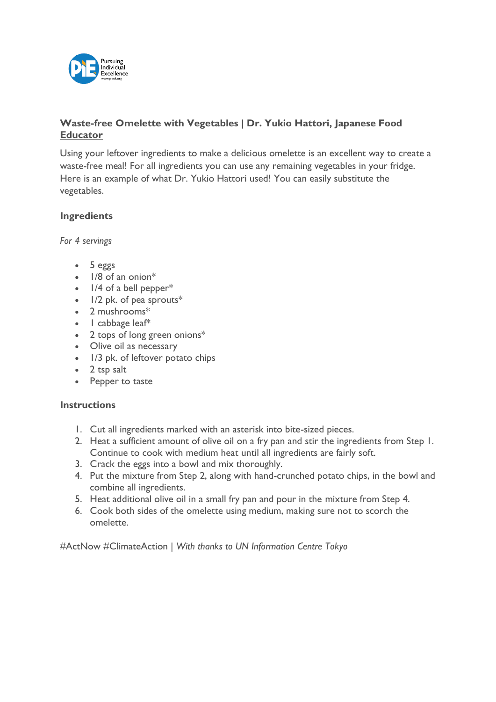

# **Waste-free Omelette with Vegetables | Dr. Yukio Hattori, Japanese Food Educator**

Using your leftover ingredients to make a delicious omelette is an excellent way to create a waste-free meal! For all ingredients you can use any remaining vegetables in your fridge. Here is an example of what Dr. Yukio Hattori used! You can easily substitute the vegetables.

# **Ingredients**

*For 4 servings*

- 5 eggs
- 1/8 of an onion\*
- $\bullet$  1/4 of a bell pepper\*
- $\bullet$  1/2 pk. of pea sprouts\*
- 2 mushrooms\*
- I cabbage leaf\*
- 2 tops of long green onions\*
- Olive oil as necessary
- 1/3 pk. of leftover potato chips
- 2 tsp salt
- Pepper to taste

### **Instructions**

- 1. Cut all ingredients marked with an asterisk into bite-sized pieces.
- 2. Heat a sufficient amount of olive oil on a fry pan and stir the ingredients from Step 1. Continue to cook with medium heat until all ingredients are fairly soft.
- 3. Crack the eggs into a bowl and mix thoroughly.
- 4. Put the mixture from Step 2, along with hand-crunched potato chips, in the bowl and combine all ingredients.
- 5. Heat additional olive oil in a small fry pan and pour in the mixture from Step 4.
- 6. Cook both sides of the omelette using medium, making sure not to scorch the omelette.

#ActNow #ClimateAction | *With thanks to UN Information Centre Tokyo*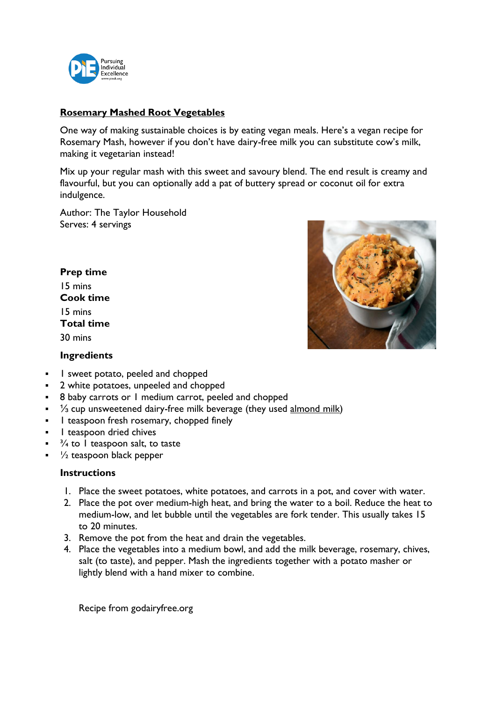

## **Rosemary Mashed Root Vegetables**

One way of making sustainable choices is by eating vegan meals. Here's a vegan recipe for Rosemary Mash, however if you don't have dairy-free milk you can substitute cow's milk, making it vegetarian instead!

Mix up your regular mash with this sweet and savoury blend. The end result is creamy and flavourful, but you can optionally add a pat of buttery spread or coconut oil for extra indulgence.

Author: The Taylor Household Serves: 4 servings

#### **Prep time** 15 mins

**Cook time** 15 mins **Total time** 30 mins





- 1 sweet potato, peeled and chopped
- 2 white potatoes, unpeeled and chopped
- 8 baby carrots or 1 medium carrot, peeled and chopped
- $\frac{1}{3}$  cup unsweetened dairy-free milk beverage (they used [almond](about:blank) milk)
- **•** 1 teaspoon fresh rosemary, chopped finely
- I teaspoon dried chives
- $\frac{3}{4}$  to 1 teaspoon salt, to taste
- $\frac{1}{2}$  teaspoon black pepper

## **Instructions**

- 1. Place the sweet potatoes, white potatoes, and carrots in a pot, and cover with water.
- 2. Place the pot over medium-high heat, and bring the water to a boil. Reduce the heat to medium-low, and let bubble until the vegetables are fork tender. This usually takes 15 to 20 minutes.
- 3. Remove the pot from the heat and drain the vegetables.
- 4. Place the vegetables into a medium bowl, and add the milk beverage, rosemary, chives, salt (to taste), and pepper. Mash the ingredients together with a potato masher or lightly blend with a hand mixer to combine.

Recipe from godairyfree.org